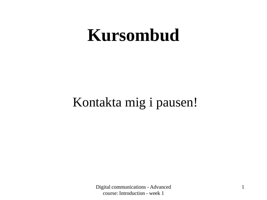# **Kursombud**

# Kontakta mig i pausen!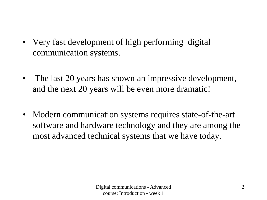- Very fast development of high performing digital communication systems.
- The last 20 years has shown an impressive development, and the next 20 years will be even more dramatic!
- Modern communication systems requires state-of-the-art software and hardware technology and they are among the most advanced technical systems that we have today.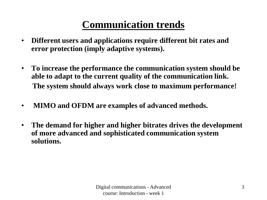# **Communication trends**

- **Different users and applications require different bit rates and error protection (imply adaptive systems).**
- **To increase the performance the communication system should be able to adapt to the current quality of the communication link. The system should always work close to maximum performance!**
- **MIMO and OFDM are examples of advanced methods.**
- **The demand for higher and higher bitrates drives the development of more advanced and sophisticated communication system solutions.**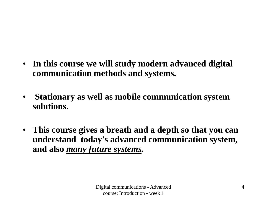- **In this course we will study modern advanced digital communication methods and systems.**
- **Stationary as well as mobile communication system solutions.**
- **This course gives a breath and a depth so that you can understand today's advanced communication system, and also** *many future systems.*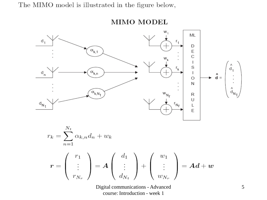The MIMO model is illustrated in the figure below,



course: Introduction - week 1

MIMO MODEL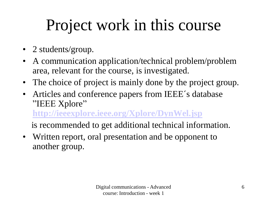# Project work in this course

- 2 students/group.
- A communication application/technical problem/problem area, relevant for the course, is investigated.
- The choice of project is mainly done by the project group.
- Articles and conference papers from IEEE's database "IEEE Xplore"

**<http://ieeexplore.ieee.org/Xplore/DynWel.jsp>**

is recommended to get additional technical information.

• Written report, oral presentation and be opponent to another group.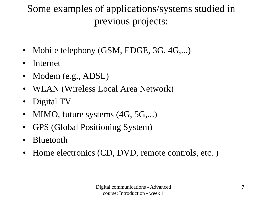# Some examples of applications/systems studied in previous projects:

- Mobile telephony (GSM, EDGE, 3G, 4G,...)
- Internet
- Modem (e.g., ADSL)
- WLAN (Wireless Local Area Network)
- Digital TV
- MIMO, future systems (4G, 5G,...)
- GPS (Global Positioning System)
- Bluetooth
- Home electronics (CD, DVD, remote controls, etc.)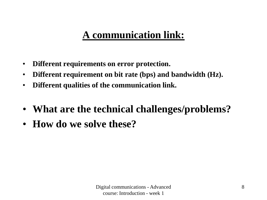# **A communication link:**

- **Different requirements on error protection.**
- **Different requirement on bit rate (bps) and bandwidth (Hz).**
- **Different qualities of the communication link.**
- **What are the technical challenges/problems?**
- **How do we solve these?**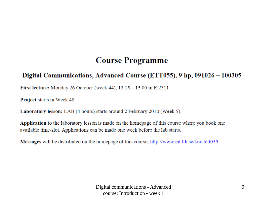### **Course Programme**

### Digital Communications, Advanced Course (ETT055), 9 hp, 091026 - 100305

First lecture: Monday 26 October (week 44), 13.15 - 15.00 in E:2311.

Project starts in Week 48.

Laboratory lesson: LAB (4 hours) starts around 2 February 2010 (Week 5).

Application to the laboratory lesson is made on the homepage of this course where you book one available time-slot. Applications can be made one week before the lab starts.

Messages will be distributed on the homepage of this course, http://www.eit.lth.se/kurs/ett055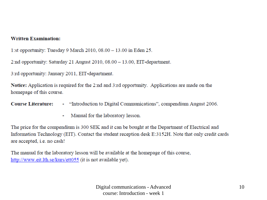#### **Written Examination:**

1:st opportunity: Tuesday 9 March 2010, 08.00 – 13.00 in Eden 25.

2:nd opportunity: Saturday 21 August 2010, 08.00 - 13.00, EIT-department.

3:rd opportunity: January 2011, EIT-department.

Notice: Application is required for the 2:nd and 3:rd opportunity. Applications are made on the homepage of this course.

- "Introduction to Digital Communications", compendium August 2006. **Course Literature:** 

> Manual for the laboratory lesson. ٠

The price for the compendium is 300 SEK and it can be bought at the Department of Electrical and Information Technology (EIT). Contact the student reception desk E:3152H. Note that only credit cards are accepted, i.e. no cash!

The manual for the laboratory lesson will be available at the homepage of this course, http://www.eit.lth.se/kurs/ett055 (it is not available yet).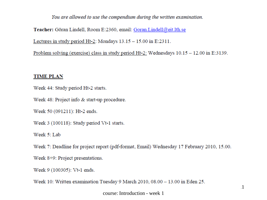You are allowed to use the compendium during the written examination.

Teacher: Göran Lindell, Room E:2360, email: Goran.Lindell@eit.lth.se

Lectures in study period Ht-2: Mondays  $13.15 - 15.00$  in E:2311.

Problem solving (exercise) class in study period Ht-2: Wednesdays  $10.15 - 12.00$  in E:3139.

#### **TIME PLAN**

Week 44: Study period Ht-2 starts.

Week 48: Project info & start-up procedure.

Week 50 (091211): Ht-2 ends.

Week 3 (100118): Study period Vt-1 starts.

Week 5: Lab

Week 7: Deadline for project report (pdf-format, Email) Wednesday 17 February 2010, 15.00.

Week 8+9: Project presentations.

Week 9 (100305): Vt-1 ends.

Week 10: Written examination Tuesday 9 March 2010, 08.00 - 13.00 in Eden 25.

course: Introduction - week 1

 $\overline{1}$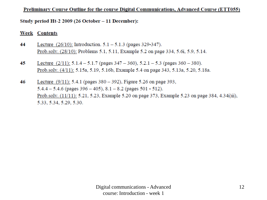#### Preliminary Course Outline for the course Digital Communications, Advanced Course (ETT055)

#### Study period Ht-2 2009 (26 October – 11 December):

#### **Week Contents**

- 44 Lecture  $(26/10)$ : Introduction. 5.1 – 5.1.3 (pages 329-347). Prob.solv. (28/10): Problems 5.1, 5.11, Example 5.2 on page 334, 5.6i, 5.9, 5.14.
- Lecture  $(2/11)$ : 5.1.4 5.1.7 (pages 347 360), 5.2.1 5.3 (pages 360 380). 45 Prob.solv. (4/11): 5.15a, 5.19, 5.16b, Example 5.4 on page 343, 5.13a, 5.20, 5.18a.
- 46 Lecture  $(9/11)$ : 5.4.1 (pages 380 – 392), Figure 5.26 on page 393,  $5.4.4 - 5.4.6$  (pages 396 – 405),  $8.1 - 8.2$  (pages 501 - 512). Prob.solv. (11/11): 5.21, 5.23, Example 5.20 on page 373, Example 5.23 on page 384, 4.34i)ii), 5.33, 5.34, 5.29, 5.30.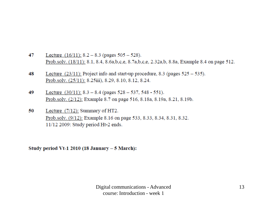- 47 Lecture  $(16/11)$ : 8.2 – 8.3 (pages 505 – 528). Prob.solv. (18/11): 8.1, 8.4, 8.6a, b, c, e, 8.7a, b, c, e, 2.32a, b, 8.8a, Example 8.4 on page 512.
- Lecture  $(23/11)$ : Project info and start-up procedure, 8.3 (pages  $525 535$ ). 48 Prob.solv. (25/11): 8.25iii), 8.29, 8.10, 8.12, 8.24.
- 49 Lecture  $(30/11)$ : 8.3 – 8.4 (pages 528 – 537, 548 – 551). Prob.solv. (2/12): Example 8.7 on page 516, 8.18a, 8.19a, 8.21, 8.19b.
- 50 Lecture (7/12): Summary of HT2. Prob.solv. (9/12): Example 8.16 on page 533, 8.33, 8.34, 8.31, 8.32. 11/12 2009: Study period Ht-2 ends.

Study period Vt-1 2010 (18 January  $-5$  March):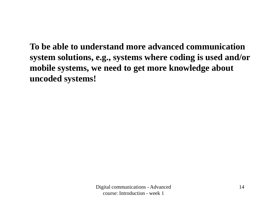**To be able to understand more advanced communication system solutions, e.g., systems where coding is used and/or mobile systems, we need to get more knowledge about uncoded systems!**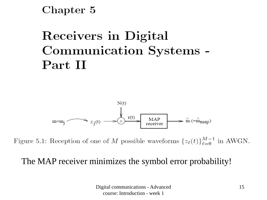## Chapter 5

# Receivers in Digital Communication Systems -Part II



Figure 5.1: Reception of one of M possible waveforms  $\{z_{\ell}(t)\}_{\ell=0}^{M-1}$  in AWGN.

### The MAP receiver minimizes the symbol error probability!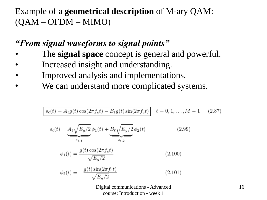## Example of a **geometrical description** of M-ary QAM: (QAM – OFDM – MIMO)

## *"From signal waveforms to signal points"*

- The **signal space** concept is general and powerful.
- Increased insight and understanding.
- Improved analysis and implementations.
- We can understand more complicated systems.

$$
s_{\ell}(t) = A_{\ell}g(t)\cos(2\pi f_c t) - B_{\ell}g(t)\sin(2\pi f_c t) \quad \ell = 0, 1, ..., M - 1 \quad (2.87)
$$

$$
s_{\ell}(t) = \underbrace{A_{\ell} \sqrt{E_g/2}}_{s_{\ell,1}} \phi_1(t) + \underbrace{B_{\ell} \sqrt{E_g/2}}_{s_{\ell,2}} \phi_2(t)
$$
\n(2.99)

$$
\phi_1(t) = \frac{g(t)\cos(2\pi f_c t)}{\sqrt{E_g/2}}
$$
\n(2.100)

$$
\phi_2(t) = -\frac{g(t)\sin(2\pi f_c t)}{\sqrt{E_g/2}}
$$
\n(2.101)

Digital communications - Advanced course: Introduction - week 1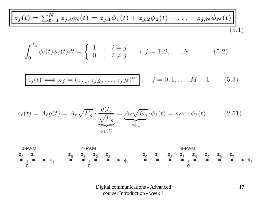$$
z_j(t) = \sum_{\ell=1}^N z_{j,\ell} \phi_\ell(t) = z_{j,1} \phi_1(t) + z_{j,2} \phi_2(t) + \ldots + z_{j,N} \phi_N(t)
$$
\n(5.1)

$$
\int_0^{T_s} \phi_i(t)\phi_j(t)dt = \begin{cases} 1, & i = j \\ 0, & i \neq j \end{cases} \quad i, j = 1, 2, ..., N \quad (5.2)
$$

$$
z_j(t) \iff z_j = (z_{j,1}, z_{j,2}, \dots, z_{j,N})^{tr} , \quad j = 0, 1, \dots, M - 1 \quad (5.3)
$$

$$
s_{\ell}(t) = A_{\ell}g(t) = A_{\ell}\sqrt{E_g} \cdot \underbrace{\frac{g(t)}{\sqrt{E_g}}}_{\phi_1(t)} = \underbrace{A_{\ell}\sqrt{E_g}}_{s_{\ell,1}} \cdot \phi_1(t) = s_{\ell,1} \cdot \phi_1(t) \tag{2.51}
$$



Digital communications - Advanced course: Introduction - week 1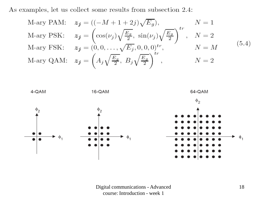As examples, let us collect some results from subsection 2.4:

M-ary PAM: 
$$
z_j = ((-M + 1 + 2j)\sqrt{E_g})
$$
,  $N = 1$   
\nM-ary PSK:  $z_j = \left(\cos(\nu_j)\sqrt{\frac{E_g}{2}}, \sin(\nu_j)\sqrt{\frac{E_g}{2}}\right)^{tr}$ ,  $N = 2$   
\nM-ary FSK:  $z_j = (0, 0, \ldots, \sqrt{E_j}, 0, 0, 0)^{tr}$ ,  $N = M$   
\nM-ary QAM:  $z_j = \left(A_j\sqrt{\frac{E_g}{2}}, B_j\sqrt{\frac{E_g}{2}}\right)^{tr}$ ,  $N = 2$  (5.4)

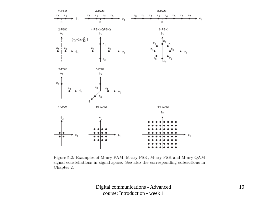

Figure 5.2: Examples of M-ary PAM, M-ary PSK, M-ary FSK and M-ary QAM signal constellations in signal space. See also the corresponding subsections in Chapter 2.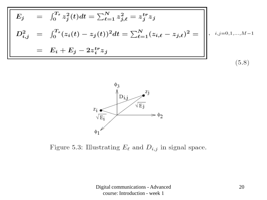$$
E_j = \int_0^{T_s} z_j^2(t)dt = \sum_{\ell=1}^N z_{j,\ell}^2 = z_j^{tr} z_j
$$
  
\n
$$
D_{i,j}^2 = \int_0^{T_s} (z_i(t) - z_j(t))^2 dt = \sum_{\ell=1}^N (z_{i,\ell} - z_{j,\ell})^2 =
$$
  
\n
$$
= E_i + E_j - 2z_i^{tr} z_j
$$
  
\n(5.8)



Figure 5.3: Illustrating  $E_{\ell}$  and  $D_{i,j}$  in signal space.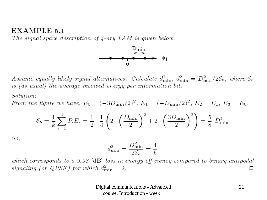#### **EXAMPLE 5.1**

The signal space description of 4-ary PAM is given below.



Assume equally likely signal alternatives. Calculate  $d_{\min}^2$ ,  $d_{\min}^2 = D_{\min}^2/2\mathcal{E}_b$ , where  $\mathcal{E}_b$ is (as usual) the average received energy per information bit.

*Solution:* 

From the figure we have,  $E_0 = (-3D_{\min}/2)^2$ ,  $E_1 = (-D_{\min}/2)^2$ ,  $E_2 = E_1$ ,  $E_3 = E_0$ .

$$
\mathcal{E}_b = \frac{1}{k} \sum_{i=1}^4 P_i E_i = \frac{1}{2} \cdot \frac{1}{4} \left( 2 \cdot \left( \frac{D_{\min}}{2} \right)^2 + 2 \cdot \left( \frac{3D_{\min}}{2} \right)^2 \right) = \frac{5}{8} D_{\min}^2
$$

 $So,$ 

$$
d_{\min}^2 = \frac{D_{\min}^2}{2\mathcal{E}_b} = \frac{4}{5}
$$

which corresponds to a 3.98 [dB] loss in energy efficiency compared to binary antipodal signaling (or QPSK) for which  $d_{\min}^2 = 2$ . □

> Digital communications - Advanced course: Introduction - week 1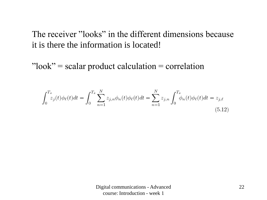The receiver "looks" in the different dimensions because it is there the information is located!

 $"look" = scalar product calculation = correlation$ 

$$
\int_0^{T_s} z_j(t)\phi_\ell(t)dt = \int_0^{T_s} \sum_{n=1}^N z_{j,n}\phi_n(t)\phi_\ell(t)dt = \sum_{n=1}^N z_{j,n} \int_0^{T_s} \phi_n(t)\phi_\ell(t)dt = z_{j,\ell}
$$
\n(5.12)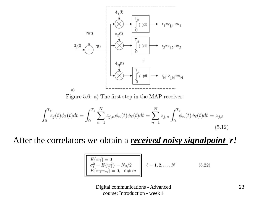

$$
\int_0^{T_s} z_j(t)\phi_\ell(t)dt = \int_0^{T_s} \sum_{n=1}^N z_{j,n}\phi_n(t)\phi_\ell(t)dt = \sum_{n=1}^N z_{j,n} \int_0^{T_s} \phi_n(t)\phi_\ell(t)dt = z_{j,\ell}
$$
\n(5.12)

After the correlators we obtain a *received noisy signalpoint r!*

$$
E\{w_{\ell}\} = 0
$$
  
\n
$$
\sigma_{\ell}^{2} = E\{w_{\ell}^{2}\} = N_{0}/2
$$
  
\n
$$
E\{w_{\ell}w_{m}\} = 0, \quad \ell \neq m
$$
  
\n
$$
\ell = 1, 2, ..., N
$$
  
\n(5.22)

Digital communications - Advanced course: Introduction - week 1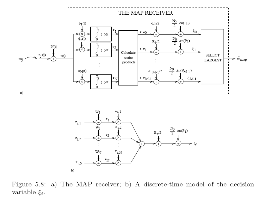



receiver, b)  $\mathbf{A}$  discrete-time moder or the decis variable  $\xi_i$ .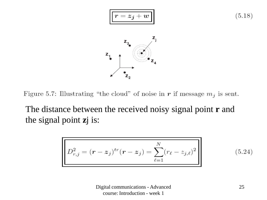

Figure 5.7: Illustrating "the cloud" of noise in r if message  $m_j$  is sent.

The distance between the received noisy signal point **r** and the signal point **z**j is:

$$
D_{r,j}^{2} = (\mathbf{r} - z_j)^{tr} (\mathbf{r} - z_j) = \sum_{\ell=1}^{N} (r_{\ell} - z_{j,\ell})^{2}
$$
 (5.24)

Digital communications - Advanced course: Introduction - week 1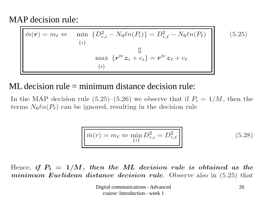MAP decision rule:

 $\hat{m}(\mathbf{r}) = m_{\ell} \Leftrightarrow \min_{\{i\}} \{D_{r,i}^2 - N_0 \ell n(P_i)\} = D_{r,\ell}^2 - N_0 \ell n(P_{\ell})$ <br> $\lim_{\mathbf{r} \to \infty} \{ \mathbf{r}^{tr} \mathbf{z}_i + c_i \} = \mathbf{r}^{tr} \mathbf{z}_{\ell} + c_{\ell}$  $(5.25)$  $\{i\}$ 

### $ML$  decision rule = minimum distance decision rule:

In the MAP decision rule (5.25)–(5.26) we observe that if  $P_i = 1/M$ , then the terms  $N_0\ell n(P_\ell)$  can be ignored, resulting in the decision rule

$$
\hat{m}(r) = m_{\ell} \Leftrightarrow \min_{\{i\}} D_{r,i}^2 = D_{r,\ell}^2 \tag{5.28}
$$

Hence, if  $P_i = 1/M$ , then the ML decision rule is obtained as the *minimum Euclidean distance decision rule.* Observe also in (5.25) that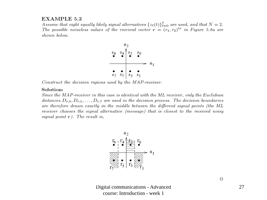#### **EXAMPLE 5.3**

Assume that eight equally likely signal alternatives  $\{z_{\ell}(t)\}_{\ell=0}^{7}$  are used, and that  $N=2$ . The possible noiseless values of the received vector  $r = (r_1, r_2)^{tr}$  in Figure 5.8a are shown below.



Construct the decision regions used by the MAP-receiver.

#### Solution:

Since the MAP-receiver in this case is identical with the ML receiver, only the Euclidean distances  $D_{r,0}, D_{r,1}, \ldots, D_{r,7}$  are used in the decision process. The decision boundaries are therefore drawn exactly in the middle between the different signal points (the ML receiver chooses the signal alternative (message) that is closest to the received noisy signal point  $r$ ). The result is,



Digital communications - Advanced course: Introduction - week 1

27

 $\Box$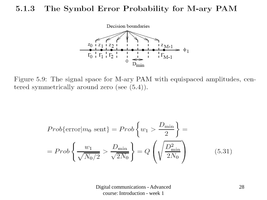#### The Symbol Error Probability for M-ary PAM  $5.1.3$



Figure 5.9: The signal space for M-ary PAM with equispaced amplitudes, centered symmetrically around zero (see  $(5.4)$ ).

$$
Prob\{\text{error}|m_0 \text{ sent}\} = Prob\left\{w_1 > \frac{D_{\text{min}}}{2}\right\} =
$$

$$
= Prob\left\{\frac{w_1}{\sqrt{N_0/2}} > \frac{D_{\text{min}}}{\sqrt{2N_0}}\right\} = Q\left(\sqrt{\frac{D_{\text{min}}^2}{2N_0}}\right) \tag{5.31}
$$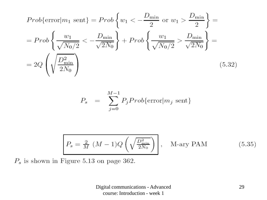$$
Prob\{\text{error}|m_1 \text{ sent}\} = Prob\left\{w_1 < -\frac{D_{\min}}{2} \text{ or } w_1 > \frac{D_{\min}}{2}\right\} =
$$

$$
= Prob\left\{\frac{w_1}{\sqrt{N_0/2}} < -\frac{D_{\min}}{\sqrt{2N_0}}\right\} + Prob\left\{\frac{w_1}{\sqrt{N_0/2}} > \frac{D_{\min}}{\sqrt{2N_0}}\right\} =
$$

$$
= 2Q\left(\sqrt{\frac{D_{\min}^2}{2N_0}}\right) \tag{5.32}
$$

$$
P_s = \sum_{j=0}^{M-1} P_j Prob\{\text{error}|m_j \text{ sent}\}
$$

$$
P_s = \frac{2}{M} \left( M - 1 \right) Q \left( \sqrt{\frac{D_{\text{min}}^2}{2N_0}} \right), \quad \text{M-ary PAM} \tag{5.35}
$$

 $P_s$  is shown in Figure 5.13 on page 362.

Digital communications - Advanced course: Introduction - week 1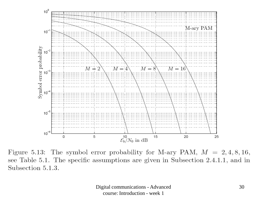

Figure 5.13: The symbol error probability for M-ary PAM,  $M = 2, 4, 8, 16$ , see Table 5.1. The specific assumptions are given in Subsection 2.4.1.1, and in Subsection 5.1.3.